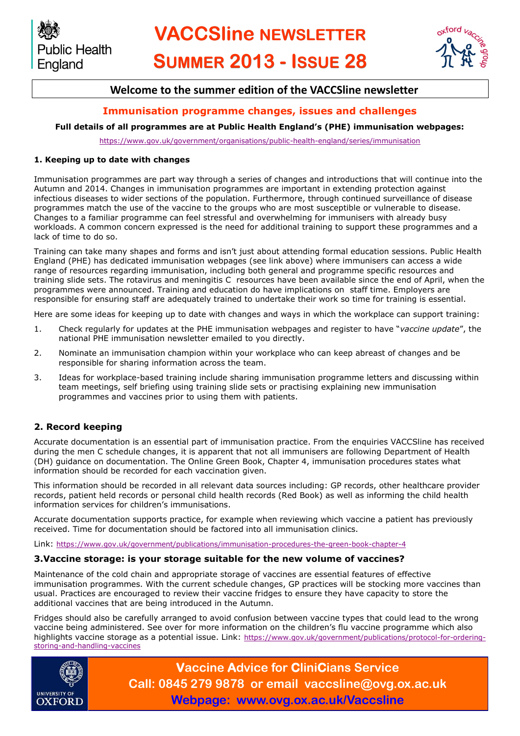

## **Welcome to the summer edition of the VACCSline newsletter**

## **Immunisation programme changes, issues and challenges**

#### **Full details of all programmes are at Public Health England's (PHE) immunisation webpages:**

<https://www.gov.uk/government/organisations/public-health-england/series/immunisation>

#### **1. Keeping up to date with changes**

Immunisation programmes are part way through a series of changes and introductions that will continue into the Autumn and 2014. Changes in immunisation programmes are important in extending protection against infectious diseases to wider sections of the population. Furthermore, through continued surveillance of disease programmes match the use of the vaccine to the groups who are most susceptible or vulnerable to disease. Changes to a familiar programme can feel stressful and overwhelming for immunisers with already busy workloads. A common concern expressed is the need for additional training to support these programmes and a lack of time to do so.

Training can take many shapes and forms and isn't just about attending formal education sessions. Public Health England (PHE) has dedicated immunisation webpages (see link above) where immunisers can access a wide range of resources regarding immunisation, including both general and programme specific resources and training slide sets. The rotavirus and meningitis C resources have been available since the end of April, when the programmes were announced. Training and education do have implications on staff time. Employers are responsible for ensuring staff are adequately trained to undertake their work so time for training is essential.

Here are some ideas for keeping up to date with changes and ways in which the workplace can support training:

- 1. Check regularly for updates at the PHE immunisation webpages and register to have "*vaccine update*", the national PHE immunisation newsletter emailed to you directly.
- 2. Nominate an immunisation champion within your workplace who can keep abreast of changes and be responsible for sharing information across the team.
- 3. Ideas for workplace-based training include sharing immunisation programme letters and discussing within team meetings, self briefing using training slide sets or practising explaining new immunisation programmes and vaccines prior to using them with patients.

## **2. Record keeping**

Accurate documentation is an essential part of immunisation practice. From the enquiries VACCSline has received during the men C schedule changes, it is apparent that not all immunisers are following Department of Health (DH) guidance on documentation. The Online Green Book, Chapter 4, immunisation procedures states what information should be recorded for each vaccination given.

This information should be recorded in all relevant data sources including: GP records, other healthcare provider records, patient held records or personal child health records (Red Book) as well as informing the child health information services for children's immunisations.

Accurate documentation supports practice, for example when reviewing which vaccine a patient has previously received. Time for documentation should be factored into all immunisation clinics.

Link: <https://www.gov.uk/government/publications/immunisation-procedures-the-green-book-chapter-4>

#### **3.Vaccine storage: is your storage suitable for the new volume of vaccines?**

Maintenance of the cold chain and appropriate storage of vaccines are essential features of effective immunisation programmes. With the current schedule changes, GP practices will be stocking more vaccines than usual. Practices are encouraged to review their vaccine fridges to ensure they have capacity to store the additional vaccines that are being introduced in the Autumn.

Fridges should also be carefully arranged to avoid confusion between vaccine types that could lead to the wrong vaccine being administered. See over for more information on the children's flu vaccine programme which also highlights vaccine storage as a potential issue. Link: [https://www.gov.uk/government/publications/protocol-for-ordering](https://www.gov.uk/government/publications/protocol-for-ordering-storing-and-handling-vaccines)[storing-and-handling-vaccines](https://www.gov.uk/government/publications/protocol-for-ordering-storing-and-handling-vaccines)



**Vaccine Advice for CliniCians Service Call: 0845 279 9878 or email vaccsline@ovg.ox.ac.uk Webpage: www.ovg.ox.ac.uk/Vaccsline**